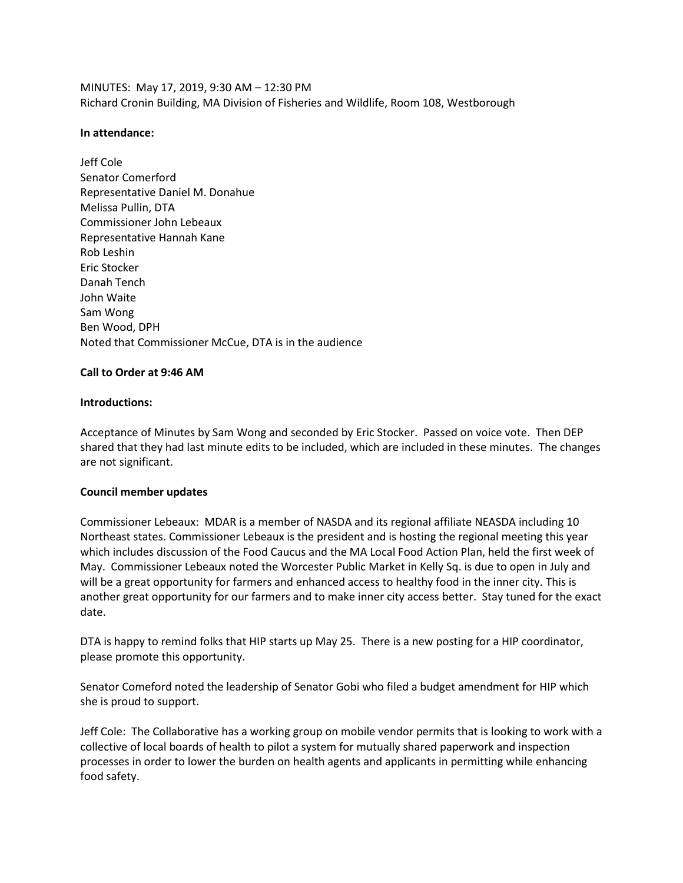MINUTES: May 17, 2019, 9:30 AM – 12:30 PM Richard Cronin Building, MA Division of Fisheries and Wildlife, Room 108, Westborough

#### **In attendance:**

Jeff Cole Senator Comerford Representative Daniel M. Donahue Melissa Pullin, DTA Commissioner John Lebeaux Representative Hannah Kane Rob Leshin Eric Stocker Danah Tench John Waite Sam Wong Ben Wood, DPH Noted that Commissioner McCue, DTA is in the audience

### **Call to Order at 9:46 AM**

### **Introductions:**

Acceptance of Minutes by Sam Wong and seconded by Eric Stocker. Passed on voice vote. Then DEP shared that they had last minute edits to be included, which are included in these minutes. The changes are not significant.

#### **Council member updates**

Commissioner Lebeaux: MDAR is a member of NASDA and its regional affiliate NEASDA including 10 Northeast states. Commissioner Lebeaux is the president and is hosting the regional meeting this year which includes discussion of the Food Caucus and the MA Local Food Action Plan, held the first week of May. Commissioner Lebeaux noted the Worcester Public Market in Kelly Sq. is due to open in July and will be a great opportunity for farmers and enhanced access to healthy food in the inner city. This is another great opportunity for our farmers and to make inner city access better. Stay tuned for the exact date.

DTA is happy to remind folks that HIP starts up May 25. There is a new posting for a HIP coordinator, please promote this opportunity.

Senator Comeford noted the leadership of Senator Gobi who filed a budget amendment for HIP which she is proud to support.

Jeff Cole: The Collaborative has a working group on mobile vendor permits that is looking to work with a collective of local boards of health to pilot a system for mutually shared paperwork and inspection processes in order to lower the burden on health agents and applicants in permitting while enhancing food safety.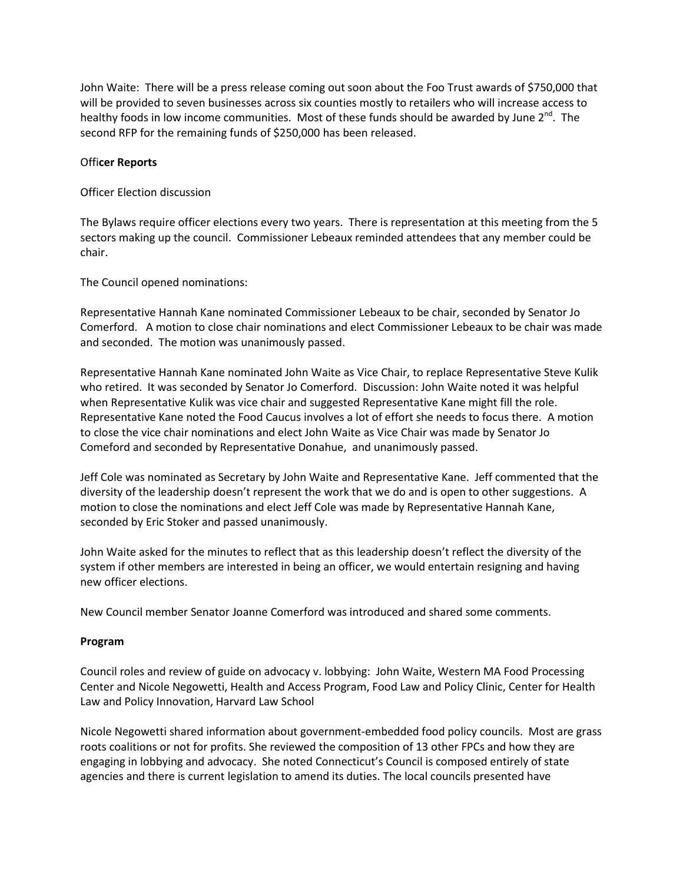John Waite: There will be a press release coming out soon about the Foo Trust awards of \$750,000 that will be provided to seven businesses across six counties mostly to retailers who will increase access to healthy foods in low income communities. Most of these funds should be awarded by June 2<sup>nd</sup>. The second RFP for the remaining funds of \$250,000 has been released.

## Offi**cer Reports**

Officer Election discussion

The Bylaws require officer elections every two years. There is representation at this meeting from the 5 sectors making up the council. Commissioner Lebeaux reminded attendees that any member could be chair.

The Council opened nominations:

Representative Hannah Kane nominated Commissioner Lebeaux to be chair, seconded by Senator Jo Comerford. A motion to close chair nominations and elect Commissioner Lebeaux to be chair was made and seconded. The motion was unanimously passed.

Representative Hannah Kane nominated John Waite as Vice Chair, to replace Representative Steve Kulik who retired. It was seconded by Senator Jo Comerford. Discussion: John Waite noted it was helpful when Representative Kulik was vice chair and suggested Representative Kane might fill the role. Representative Kane noted the Food Caucus involves a lot of effort she needs to focus there. A motion to close the vice chair nominations and elect John Waite as Vice Chair was made by Senator Jo Comeford and seconded by Representative Donahue, and unanimously passed.

Jeff Cole was nominated as Secretary by John Waite and Representative Kane. Jeff commented that the diversity of the leadership doesn't represent the work that we do and is open to other suggestions. A motion to close the nominations and elect Jeff Cole was made by Representative Hannah Kane, seconded by Eric Stoker and passed unanimously.

John Waite asked for the minutes to reflect that as this leadership doesn't reflect the diversity of the system if other members are interested in being an officer, we would entertain resigning and having new officer elections.

New Council member Senator Joanne Comerford was introduced and shared some comments.

# **Program**

Council roles and review of guide on advocacy v. lobbying: John Waite, Western MA Food Processing Center and Nicole Negowetti, Health and Access Program, Food Law and Policy Clinic, Center for Health Law and Policy Innovation, Harvard Law School

Nicole Negowetti shared information about government-embedded food policy councils. Most are grass roots coalitions or not for profits. She reviewed the composition of 13 other FPCs and how they are engaging in lobbying and advocacy. She noted Connecticut's Council is composed entirely of state agencies and there is current legislation to amend its duties. The local councils presented have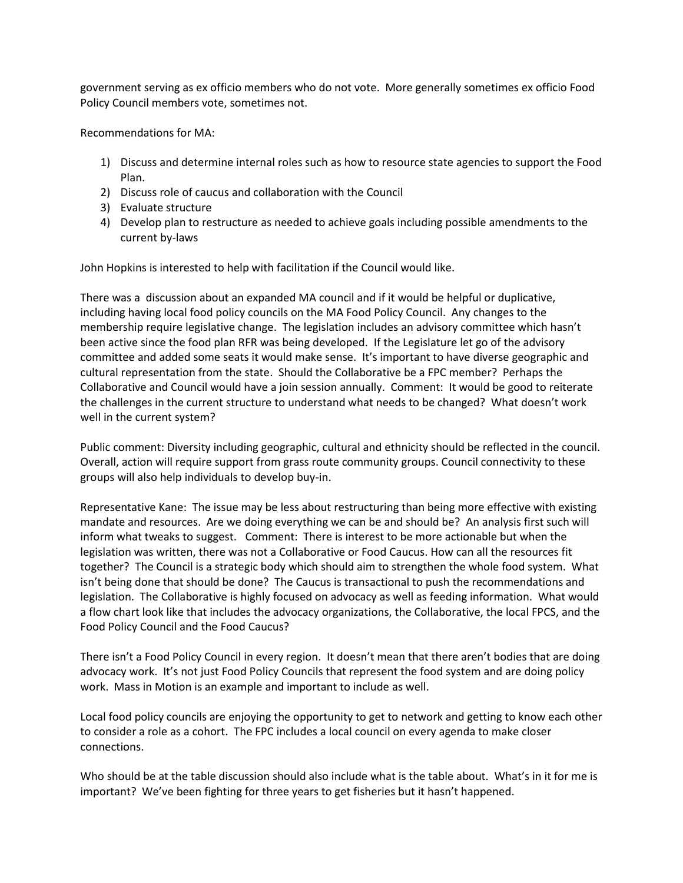government serving as ex officio members who do not vote. More generally sometimes ex officio Food Policy Council members vote, sometimes not.

Recommendations for MA:

- 1) Discuss and determine internal roles such as how to resource state agencies to support the Food Plan.
- 2) Discuss role of caucus and collaboration with the Council
- 3) Evaluate structure
- 4) Develop plan to restructure as needed to achieve goals including possible amendments to the current by-laws

John Hopkins is interested to help with facilitation if the Council would like.

There was a discussion about an expanded MA council and if it would be helpful or duplicative, including having local food policy councils on the MA Food Policy Council. Any changes to the membership require legislative change. The legislation includes an advisory committee which hasn't been active since the food plan RFR was being developed. If the Legislature let go of the advisory committee and added some seats it would make sense. It's important to have diverse geographic and cultural representation from the state. Should the Collaborative be a FPC member? Perhaps the Collaborative and Council would have a join session annually. Comment: It would be good to reiterate the challenges in the current structure to understand what needs to be changed? What doesn't work well in the current system?

Public comment: Diversity including geographic, cultural and ethnicity should be reflected in the council. Overall, action will require support from grass route community groups. Council connectivity to these groups will also help individuals to develop buy-in.

Representative Kane: The issue may be less about restructuring than being more effective with existing mandate and resources. Are we doing everything we can be and should be? An analysis first such will inform what tweaks to suggest. Comment: There is interest to be more actionable but when the legislation was written, there was not a Collaborative or Food Caucus. How can all the resources fit together? The Council is a strategic body which should aim to strengthen the whole food system. What isn't being done that should be done? The Caucus is transactional to push the recommendations and legislation. The Collaborative is highly focused on advocacy as well as feeding information. What would a flow chart look like that includes the advocacy organizations, the Collaborative, the local FPCS, and the Food Policy Council and the Food Caucus?

There isn't a Food Policy Council in every region. It doesn't mean that there aren't bodies that are doing advocacy work. It's not just Food Policy Councils that represent the food system and are doing policy work. Mass in Motion is an example and important to include as well.

Local food policy councils are enjoying the opportunity to get to network and getting to know each other to consider a role as a cohort. The FPC includes a local council on every agenda to make closer connections.

Who should be at the table discussion should also include what is the table about. What's in it for me is important? We've been fighting for three years to get fisheries but it hasn't happened.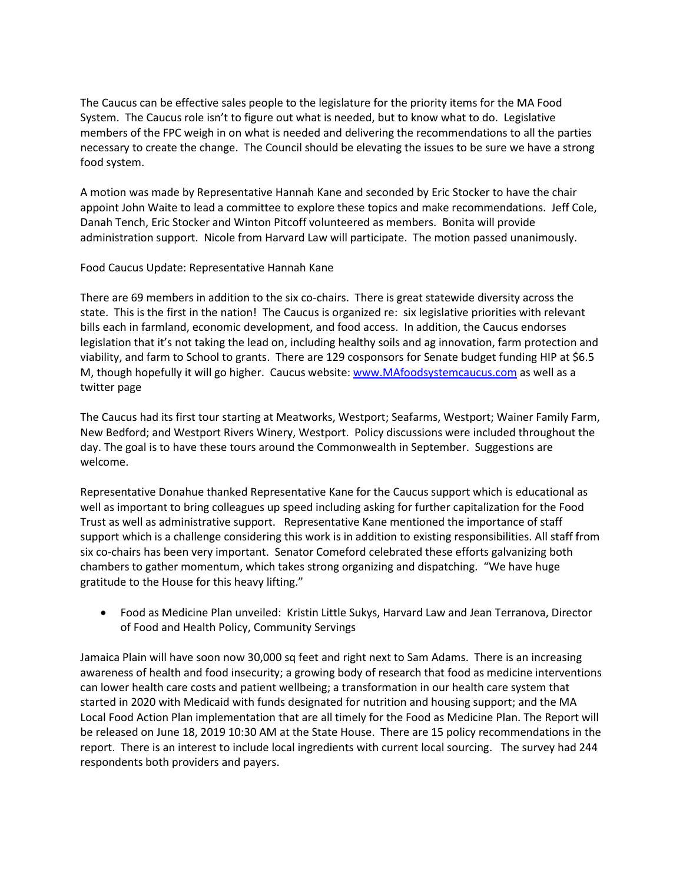The Caucus can be effective sales people to the legislature for the priority items for the MA Food System. The Caucus role isn't to figure out what is needed, but to know what to do. Legislative members of the FPC weigh in on what is needed and delivering the recommendations to all the parties necessary to create the change. The Council should be elevating the issues to be sure we have a strong food system.

A motion was made by Representative Hannah Kane and seconded by Eric Stocker to have the chair appoint John Waite to lead a committee to explore these topics and make recommendations. Jeff Cole, Danah Tench, Eric Stocker and Winton Pitcoff volunteered as members. Bonita will provide administration support. Nicole from Harvard Law will participate. The motion passed unanimously.

### Food Caucus Update: Representative Hannah Kane

There are 69 members in addition to the six co-chairs. There is great statewide diversity across the state. This is the first in the nation! The Caucus is organized re: six legislative priorities with relevant bills each in farmland, economic development, and food access. In addition, the Caucus endorses legislation that it's not taking the lead on, including healthy soils and ag innovation, farm protection and viability, and farm to School to grants. There are 129 cosponsors for Senate budget funding HIP at \$6.5 M, though hopefully it will go higher. Caucus website[: www.MAfoodsystemcaucus.com](file:///C:/Users/boehlke/AppData/Local/Microsoft/Windows/Temporary%20Internet%20Files/AppData/Local/Microsoft/Windows/INetCache/Content.Outlook/AD7X76W7/www.MAfoodsystemcaucus.com) as well as a twitter page

The Caucus had its first tour starting at Meatworks, Westport; Seafarms, Westport; Wainer Family Farm, New Bedford; and Westport Rivers Winery, Westport. Policy discussions were included throughout the day. The goal is to have these tours around the Commonwealth in September. Suggestions are welcome.

Representative Donahue thanked Representative Kane for the Caucus support which is educational as well as important to bring colleagues up speed including asking for further capitalization for the Food Trust as well as administrative support. Representative Kane mentioned the importance of staff support which is a challenge considering this work is in addition to existing responsibilities. All staff from six co-chairs has been very important. Senator Comeford celebrated these efforts galvanizing both chambers to gather momentum, which takes strong organizing and dispatching. "We have huge gratitude to the House for this heavy lifting."

 Food as Medicine Plan unveiled: Kristin Little Sukys, Harvard Law and Jean Terranova, Director of Food and Health Policy, Community Servings

Jamaica Plain will have soon now 30,000 sq feet and right next to Sam Adams. There is an increasing awareness of health and food insecurity; a growing body of research that food as medicine interventions can lower health care costs and patient wellbeing; a transformation in our health care system that started in 2020 with Medicaid with funds designated for nutrition and housing support; and the MA Local Food Action Plan implementation that are all timely for the Food as Medicine Plan. The Report will be released on June 18, 2019 10:30 AM at the State House. There are 15 policy recommendations in the report. There is an interest to include local ingredients with current local sourcing. The survey had 244 respondents both providers and payers.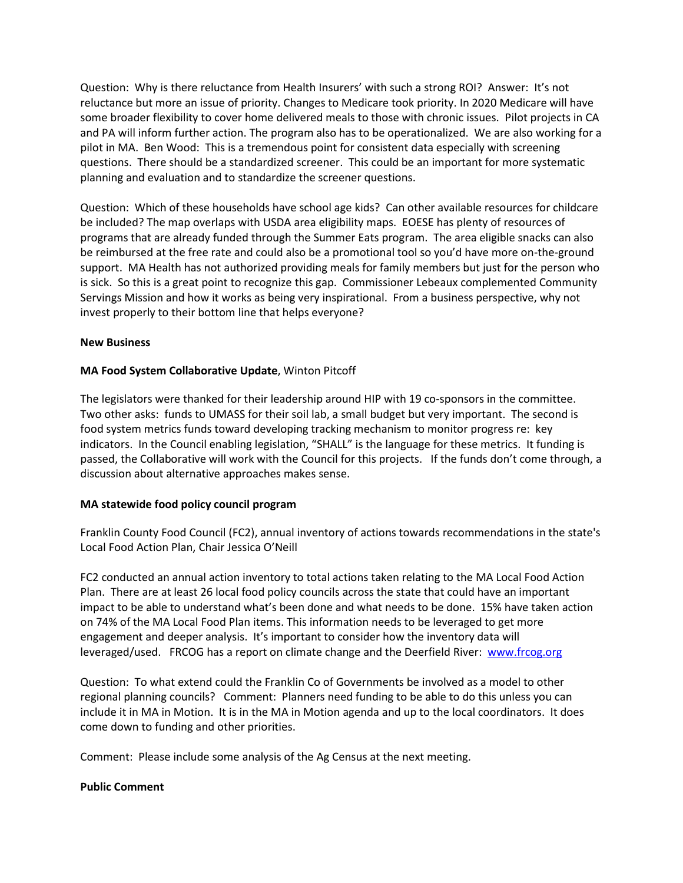Question: Why is there reluctance from Health Insurers' with such a strong ROI? Answer: It's not reluctance but more an issue of priority. Changes to Medicare took priority. In 2020 Medicare will have some broader flexibility to cover home delivered meals to those with chronic issues. Pilot projects in CA and PA will inform further action. The program also has to be operationalized. We are also working for a pilot in MA. Ben Wood: This is a tremendous point for consistent data especially with screening questions. There should be a standardized screener. This could be an important for more systematic planning and evaluation and to standardize the screener questions.

Question: Which of these households have school age kids? Can other available resources for childcare be included? The map overlaps with USDA area eligibility maps. EOESE has plenty of resources of programs that are already funded through the Summer Eats program. The area eligible snacks can also be reimbursed at the free rate and could also be a promotional tool so you'd have more on-the-ground support. MA Health has not authorized providing meals for family members but just for the person who is sick. So this is a great point to recognize this gap. Commissioner Lebeaux complemented Community Servings Mission and how it works as being very inspirational. From a business perspective, why not invest properly to their bottom line that helps everyone?

### **New Business**

# **MA Food System Collaborative Update**, Winton Pitcoff

The legislators were thanked for their leadership around HIP with 19 co-sponsors in the committee. Two other asks: funds to UMASS for their soil lab, a small budget but very important. The second is food system metrics funds toward developing tracking mechanism to monitor progress re: key indicators. In the Council enabling legislation, "SHALL" is the language for these metrics. It funding is passed, the Collaborative will work with the Council for this projects. If the funds don't come through, a discussion about alternative approaches makes sense.

# **MA statewide food policy council program**

Franklin County Food Council (FC2), annual inventory of actions towards recommendations in the state's Local Food Action Plan, Chair Jessica O'Neill

FC2 conducted an annual action inventory to total actions taken relating to the MA Local Food Action Plan. There are at least 26 local food policy councils across the state that could have an important impact to be able to understand what's been done and what needs to be done. 15% have taken action on 74% of the MA Local Food Plan items. This information needs to be leveraged to get more engagement and deeper analysis. It's important to consider how the inventory data will leveraged/used. FRCOG has a report on climate change and the Deerfield River: [www.frcog.org](http://www.frcog.org/) 

Question: To what extend could the Franklin Co of Governments be involved as a model to other regional planning councils? Comment: Planners need funding to be able to do this unless you can include it in MA in Motion. It is in the MA in Motion agenda and up to the local coordinators. It does come down to funding and other priorities.

Comment: Please include some analysis of the Ag Census at the next meeting.

#### **Public Comment**